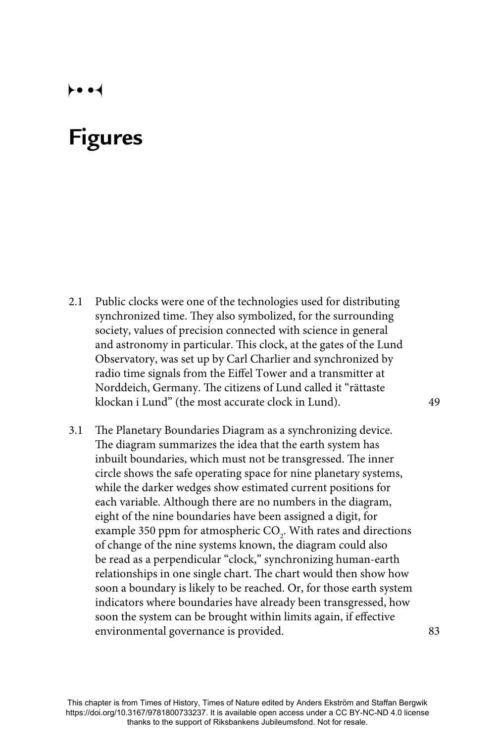## $\leftrightarrow$

## **Figures**

- 2.1 Public clocks were one of the technologies used for distributing synchronized time. They also symbolized, for the surrounding society, values of precision connected with science in general and astronomy in particular. This clock, at the gates of the Lund Observatory, was set up by Carl Charlier and synchronized by radio time signals from the Eiffel Tower and a transmitter at Norddeich, Germany. The citizens of Lund called it "rättaste klockan i Lund" (the most accurate clock in Lund). 49
- 3.1 The Planetary Boundaries Diagram as a synchronizing device. The diagram summarizes the idea that the earth system has inbuilt boundaries, which must not be transgressed. The inner circle shows the safe operating space for nine planetary systems, while the darker wedges show estimated current positions for each variable. Although there are no numbers in the diagram, eight of the nine boundaries have been assigned a digit, for example 350 ppm for atmospheric  $\mathrm{CO}_2$ . With rates and directions of change of the nine systems known, the diagram could also be read as a perpendicular "clock," synchronizing human-earth relationships in one single chart. The chart would then show how soon a boundary is likely to be reached. Or, for those earth system indicators where boundaries have already been transgressed, how soon the system can be brought within limits again, if effective environmental governance is provided. 83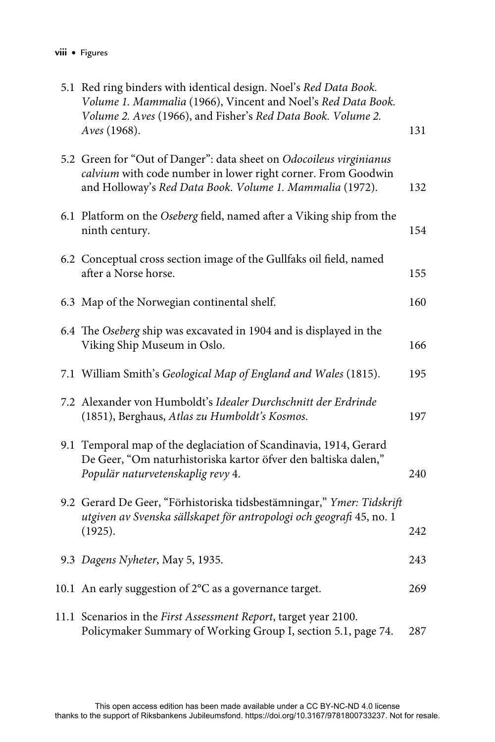| VIII | <b>Figures</b> |
|------|----------------|
|------|----------------|

| 5.1 Red ring binders with identical design. Noel's Red Data Book.<br>Volume 1. Mammalia (1966), Vincent and Noel's Red Data Book.<br>Volume 2. Aves (1966), and Fisher's Red Data Book. Volume 2.<br>Aves (1968). | 131 |
|-------------------------------------------------------------------------------------------------------------------------------------------------------------------------------------------------------------------|-----|
| 5.2 Green for "Out of Danger": data sheet on Odocoileus virginianus<br>calvium with code number in lower right corner. From Goodwin<br>and Holloway's Red Data Book. Volume 1. Mammalia (1972).                   | 132 |
| 6.1 Platform on the Oseberg field, named after a Viking ship from the<br>ninth century.                                                                                                                           | 154 |
| 6.2 Conceptual cross section image of the Gullfaks oil field, named<br>after a Norse horse.                                                                                                                       | 155 |
| 6.3 Map of the Norwegian continental shelf.                                                                                                                                                                       | 160 |
| 6.4 The Oseberg ship was excavated in 1904 and is displayed in the<br>Viking Ship Museum in Oslo.                                                                                                                 | 166 |
| 7.1 William Smith's Geological Map of England and Wales (1815).                                                                                                                                                   | 195 |
| 7.2 Alexander von Humboldt's Idealer Durchschnitt der Erdrinde<br>(1851), Berghaus, Atlas zu Humboldt's Kosmos.                                                                                                   | 197 |
| 9.1 Temporal map of the deglaciation of Scandinavia, 1914, Gerard<br>De Geer, "Om naturhistoriska kartor öfver den baltiska dalen,"<br>Populär naturvetenskaplig revy 4.                                          | 240 |
| 9.2 Gerard De Geer, "Förhistoriska tidsbestämningar," Ymer: Tidskrift<br>utgiven av Svenska sällskapet för antropologi och geografi 45, no. 1<br>(1925).                                                          | 242 |
| 9.3 Dagens Nyheter, May 5, 1935.                                                                                                                                                                                  | 243 |
| 10.1 An early suggestion of 2°C as a governance target.                                                                                                                                                           | 269 |
| 11.1 Scenarios in the First Assessment Report, target year 2100.<br>Policymaker Summary of Working Group I, section 5.1, page 74.                                                                                 | 287 |